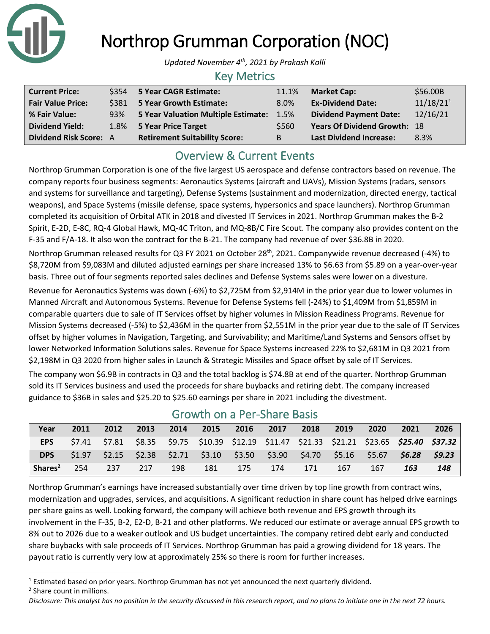

# Northrop Grumman Corporation (NOC)

*Updated November 4th, 2021 by Prakash Kolli*

#### Key Metrics

| <b>Current Price:</b>         |     | \$354 5 Year CAGR Estimate:          | 11.1% | <b>Market Cap:</b>                  | \$56.00B              |
|-------------------------------|-----|--------------------------------------|-------|-------------------------------------|-----------------------|
| <b>Fair Value Price:</b>      |     | \$381 5 Year Growth Estimate:        | 8.0%  | <b>Ex-Dividend Date:</b>            | 11/18/21 <sup>1</sup> |
| % Fair Value:                 | 93% | 5 Year Valuation Multiple Estimate:  | 1.5%  | <b>Dividend Payment Date:</b>       | 12/16/21              |
| <b>Dividend Yield:</b>        |     | 1.8% 5 Year Price Target             | \$560 | <b>Years Of Dividend Growth: 18</b> |                       |
| <b>Dividend Risk Score: A</b> |     | <b>Retirement Suitability Score:</b> | B     | <b>Last Dividend Increase:</b>      | 8.3%                  |

# Overview & Current Events

Northrop Grumman Corporation is one of the five largest US aerospace and defense contractors based on revenue. The company reports four business segments: Aeronautics Systems (aircraft and UAVs), Mission Systems (radars, sensors and systems for surveillance and targeting), Defense Systems (sustainment and modernization, directed energy, tactical weapons), and Space Systems (missile defense, space systems, hypersonics and space launchers). Northrop Grumman completed its acquisition of Orbital ATK in 2018 and divested IT Services in 2021. Northrop Grumman makes the B-2 Spirit, E-2D, E-8C, RQ-4 Global Hawk, MQ-4C Triton, and MQ-8B/C Fire Scout. The company also provides content on the F-35 and F/A-18. It also won the contract for the B-21. The company had revenue of over \$36.8B in 2020.

Northrop Grumman released results for Q3 FY 2021 on October 28<sup>th</sup>, 2021. Companywide revenue decreased (-4%) to \$8,720M from \$9,083M and diluted adjusted earnings per share increased 13% to \$6.63 from \$5.89 on a year-over-year basis. Three out of four segments reported sales declines and Defense Systems sales were lower on a divesture.

Revenue for Aeronautics Systems was down (-6%) to \$2,725M from \$2,914M in the prior year due to lower volumes in Manned Aircraft and Autonomous Systems. Revenue for Defense Systems fell (-24%) to \$1,409M from \$1,859M in comparable quarters due to sale of IT Services offset by higher volumes in Mission Readiness Programs. Revenue for Mission Systems decreased (-5%) to \$2,436M in the quarter from \$2,551M in the prior year due to the sale of IT Services offset by higher volumes in Navigation, Targeting, and Survivability; and Maritime/Land Systems and Sensors offset by lower Networked Information Solutions sales. Revenue for Space Systems increased 22% to \$2,681M in Q3 2021 from \$2,198M in Q3 2020 from higher sales in Launch & Strategic Missiles and Space offset by sale of IT Services.

The company won \$6.9B in contracts in Q3 and the total backlog is \$74.8B at end of the quarter. Northrop Grumman sold its IT Services business and used the proceeds for share buybacks and retiring debt. The company increased guidance to \$36B in sales and \$25.20 to \$25.60 earnings per share in 2021 including the divestment.

|                     |      |      |      |      | <u>SI SI I SI I SI I SI SI ISI SOSIJ</u>                                                           |      |      |      |      |      |      |      |
|---------------------|------|------|------|------|----------------------------------------------------------------------------------------------------|------|------|------|------|------|------|------|
| Year                | 2011 | 2012 | 2013 | 2014 | 2015                                                                                               | 2016 | 2017 | 2018 | 2019 | 2020 | 2021 | 2026 |
| <b>EPS</b>          |      |      |      |      | \$7.41 \$7.81 \$8.35 \$9.75 \$10.39 \$12.19 \$11.47 \$21.33 \$21.21 \$23.65 <b>\$25.40 \$37.32</b> |      |      |      |      |      |      |      |
| DPS                 |      |      |      |      | $$1.97$ $$2.15$ $$2.38$ $$2.71$ $$3.10$ $$3.50$ $$3.90$ $$4.70$ $$5.16$ $$5.67$ $$6.28$ $$9.23$    |      |      |      |      |      |      |      |
| Shares <sup>2</sup> | 254  | 237  | 217  | 198  | 181                                                                                                | 175  | 174  | 171  | 167  | 167  | 163  | 148  |

### Growth on a Per-Share Basis

Northrop Grumman's earnings have increased substantially over time driven by top line growth from contract wins, modernization and upgrades, services, and acquisitions. A significant reduction in share count has helped drive earnings per share gains as well. Looking forward, the company will achieve both revenue and EPS growth through its involvement in the F-35, B-2, E2-D, B-21 and other platforms. We reduced our estimate or average annual EPS growth to 8% out to 2026 due to a weaker outlook and US budget uncertainties. The company retired debt early and conducted share buybacks with sale proceeds of IT Services. Northrop Grumman has paid a growing dividend for 18 years. The payout ratio is currently very low at approximately 25% so there is room for further increases.

- $<sup>1</sup>$  Estimated based on prior years. Northrop Grumman has not yet announced the next quarterly dividend.</sup>
- <sup>2</sup> Share count in millions.

*Disclosure: This analyst has no position in the security discussed in this research report, and no plans to initiate one in the next 72 hours.*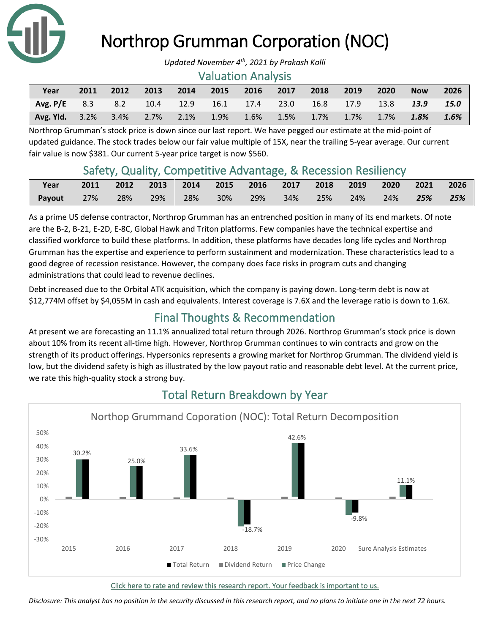

# Northrop Grumman Corporation (NOC)

#### Valuation Analysis

| Year                                                                    | 2011 | 2012 | 2013 | 2014 | 2015 | 2016 2017 2018 2019 |  | 2020 | <b>Now</b> | 2026    |
|-------------------------------------------------------------------------|------|------|------|------|------|---------------------|--|------|------------|---------|
| <b>Avg. P/E</b> 8.3 8.2 10.4 12.9 16.1 17.4 23.0 16.8 17.9 13.8 13.9    |      |      |      |      |      |                     |  |      |            | 15.0    |
| <b>Avg. Yld.</b> 3.2% 3.4% 2.7% 2.1% 1.9% 1.6% 1.5% 1.7% 1.7% 1.7% 1.8% |      |      |      |      |      |                     |  |      |            | $1.6\%$ |

Northrop Grumman's stock price is down since our last report. We have pegged our estimate at the mid-point of updated guidance. The stock trades below our fair value multiple of 15X, near the trailing 5-year average. Our current fair value is now \$381. Our current 5-year price target is now \$560.

## Safety, Quality, Competitive Advantage, & Recession Resiliency

| Year   |        | 2011 2012 2013 2014 2015 2016 2017 2018 2019 2020 2021 2026 |     |     |        |             |  |            |        |        |     |
|--------|--------|-------------------------------------------------------------|-----|-----|--------|-------------|--|------------|--------|--------|-----|
| Payout | $27\%$ | 28%                                                         | 29% | 28% | $30\%$ | 29% 34% 25% |  | $\sim$ 24% | $24\%$ | $25\%$ | 25% |

As a prime US defense contractor, Northrop Grumman has an entrenched position in many of its end markets. Of note are the B-2, B-21, E-2D, E-8C, Global Hawk and Triton platforms. Few companies have the technical expertise and classified workforce to build these platforms. In addition, these platforms have decades long life cycles and Northrop Grumman has the expertise and experience to perform sustainment and modernization. These characteristics lead to a good degree of recession resistance. However, the company does face risks in program cuts and changing administrations that could lead to revenue declines.

Debt increased due to the Orbital ATK acquisition, which the company is paying down. Long-term debt is now at \$12,774M offset by \$4,055M in cash and equivalents. Interest coverage is 7.6X and the leverage ratio is down to 1.6X.

# Final Thoughts & Recommendation

At present we are forecasting an 11.1% annualized total return through 2026. Northrop Grumman's stock price is down about 10% from its recent all-time high. However, Northrop Grumman continues to win contracts and grow on the strength of its product offerings. Hypersonics represents a growing market for Northrop Grumman. The dividend yield is low, but the dividend safety is high as illustrated by the low payout ratio and reasonable debt level. At the current price, we rate this high-quality stock a strong buy.



# Total Return Breakdown by Year

[Click here to rate and review this research report. Your feedback is important to us.](https://suredividend.typeform.com/to/pOfbkh)

*Disclosure: This analyst has no position in the security discussed in this research report, and no plans to initiate one in the next 72 hours.*

*Updated November 4th, 2021 by Prakash Kolli*